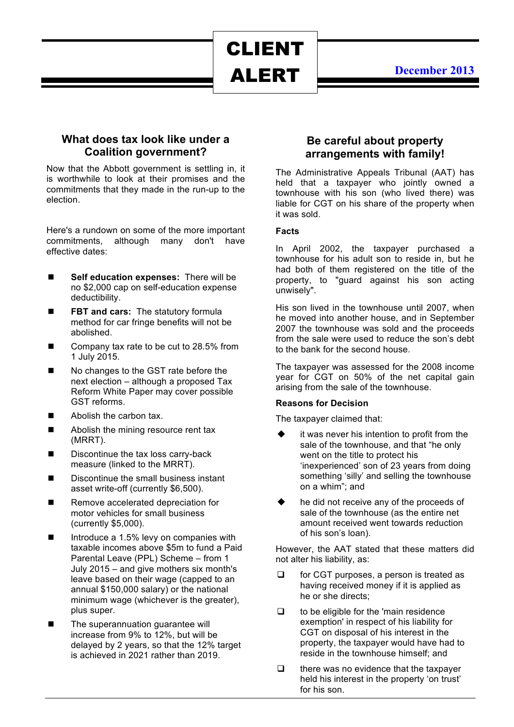# CLIENT ALERT

## **December 2013**

## **What does tax look like under a Coalition government?**

Now that the Abbott government is settling in, it is worthwhile to look at their promises and the commitments that they made in the run-up to the election.

Here's a rundown on some of the more important commitments, although many don't have effective dates:

- **n** Self education expenses: There will be no \$2,000 cap on self-education expense deductibility.
- **FBT and cars:** The statutory formula method for car fringe benefits will not be abolished.
- Company tax rate to be cut to 28.5% from 1 July 2015.
- No changes to the GST rate before the next election – although a proposed Tax Reform White Paper may cover possible GST reforms.
- $\blacksquare$  Abolish the carbon tax.
- Abolish the mining resource rent tax (MRRT).
- $\blacksquare$  Discontinue the tax loss carry-back measure (linked to the MRRT).
- $\blacksquare$  Discontinue the small business instant asset write-off (currently \$6,500).
- Remove accelerated depreciation for motor vehicles for small business (currently \$5,000).
- $\blacksquare$  Introduce a 1.5% levy on companies with taxable incomes above \$5m to fund a Paid Parental Leave (PPL) Scheme – from 1 July 2015 – and give mothers six month's leave based on their wage (capped to an annual \$150,000 salary) or the national minimum wage (whichever is the greater), plus super.
- The superannuation guarantee will increase from 9% to 12%, but will be delayed by 2 years, so that the 12% target is achieved in 2021 rather than 2019.

## **Be careful about property arrangements with family!**

The Administrative Appeals Tribunal (AAT) has held that a taxpayer who jointly owned a townhouse with his son (who lived there) was liable for CGT on his share of the property when it was sold.

#### **Facts**

In April 2002, the taxpayer purchased a townhouse for his adult son to reside in, but he had both of them registered on the title of the property, to "guard against his son acting unwisely".

His son lived in the townhouse until 2007, when he moved into another house, and in September 2007 the townhouse was sold and the proceeds from the sale were used to reduce the son's debt to the bank for the second house.

The taxpayer was assessed for the 2008 income year for CGT on 50% of the net capital gain arising from the sale of the townhouse.

#### **Reasons for Decision**

The taxpayer claimed that:

- it was never his intention to profit from the sale of the townhouse, and that "he only went on the title to protect his 'inexperienced' son of 23 years from doing something 'silly' and selling the townhouse on a whim"; and
- he did not receive any of the proceeds of sale of the townhouse (as the entire net amount received went towards reduction of his son's loan).

However, the AAT stated that these matters did not alter his liability, as:

- $\Box$  for CGT purposes, a person is treated as having received money if it is applied as he or she directs;
- $\Box$  to be eligible for the 'main residence exemption' in respect of his liability for CGT on disposal of his interest in the property, the taxpayer would have had to reside in the townhouse himself; and
- $\Box$  there was no evidence that the taxpayer held his interest in the property 'on trust' for his son.